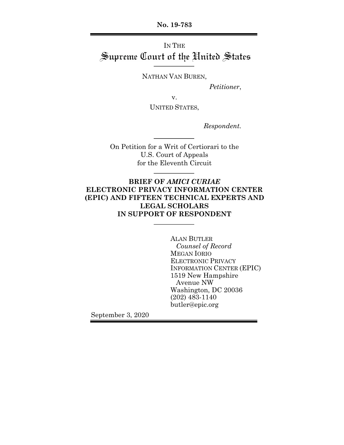**No. 19-783**

# IN THE Supreme Court of the United States

NATHAN VAN BUREN,

*Petitioner*,

v.

UNITED STATES,

*Respondent.*

On Petition for a Writ of Certiorari to the U.S. Court of Appeals for the Eleventh Circuit

## **BRIEF OF** *AMICI CURIAE* **ELECTRONIC PRIVACY INFORMATION CENTER (EPIC) AND FIFTEEN TECHNICAL EXPERTS AND LEGAL SCHOLARS IN SUPPORT OF RESPONDENT**

ALAN BUTLER *Counsel of Record* MEGAN IORIO ELECTRONIC PRIVACY INFORMATION CENTER (EPIC) 1519 New Hampshire Avenue NW Washington, DC 20036 (202) 483-1140 butler@epic.org

September 3, 2020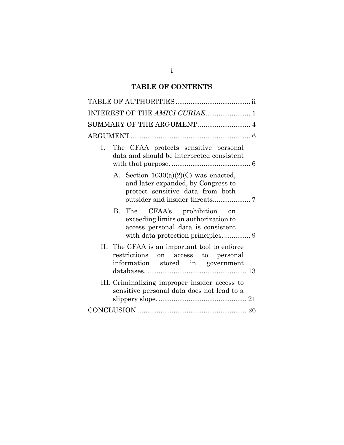# **TABLE OF CONTENTS**

|    | INTEREST OF THE AMICI CURIAE 1                                                                                         |
|----|------------------------------------------------------------------------------------------------------------------------|
|    | SUMMARY OF THE ARGUMENT  4                                                                                             |
|    |                                                                                                                        |
| Ι. | The CFAA protects sensitive personal<br>data and should be interpreted consistent                                      |
|    | A. Section $1030(a)(2)(C)$ was enacted,<br>and later expanded, by Congress to<br>protect sensitive data from both      |
|    | B. The CFAA's prohibition on<br>exceeding limits on authorization to<br>access personal data is consistent             |
|    | II. The CFAA is an important tool to enforce<br>restrictions on access to personal<br>information stored in government |
|    | III. Criminalizing improper insider access to<br>sensitive personal data does not lead to a                            |
|    |                                                                                                                        |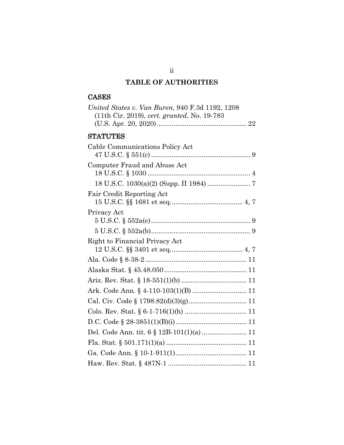# **TABLE OF AUTHORITIES**

# CASES

| United States v. Van Buren, 940 F.3d 1192, 1208 |
|-------------------------------------------------|
| (11th Cir. 2019), cert. granted, No. 19-783     |
|                                                 |
| <b>STATUTES</b>                                 |
| Cable Communications Policy Act                 |
| Computer Fraud and Abuse Act                    |
|                                                 |
| <b>Fair Credit Reporting Act</b>                |
| Privacy Act                                     |
|                                                 |
|                                                 |
| Right to Financial Privacy Act                  |
|                                                 |
|                                                 |
|                                                 |
|                                                 |
|                                                 |
|                                                 |
|                                                 |
|                                                 |
| Del. Code Ann. tit. 6 § 12B-101(1)(a) 11        |
|                                                 |
|                                                 |
|                                                 |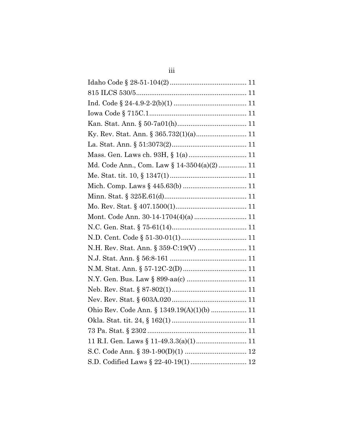| Ky. Rev. Stat. Ann. § 365.732(1)(a) 11     |
|--------------------------------------------|
|                                            |
|                                            |
| Md. Code Ann., Com. Law § 14-3504(a)(2) 11 |
|                                            |
|                                            |
|                                            |
|                                            |
| Mont. Code Ann. 30-14-1704(4)(a)  11       |
|                                            |
|                                            |
|                                            |
|                                            |
|                                            |
|                                            |
|                                            |
|                                            |
| Ohio Rev. Code Ann. § 1349.19(A)(1)(b)  11 |
|                                            |
|                                            |
|                                            |
|                                            |
|                                            |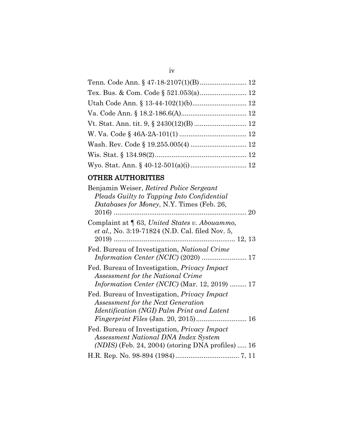| Tenn. Code Ann. § 47-18-2107(1)(B) 12 |  |
|---------------------------------------|--|
|                                       |  |
|                                       |  |
|                                       |  |
|                                       |  |
|                                       |  |
|                                       |  |
|                                       |  |
|                                       |  |

# OTHER AUTHORITIES

## iv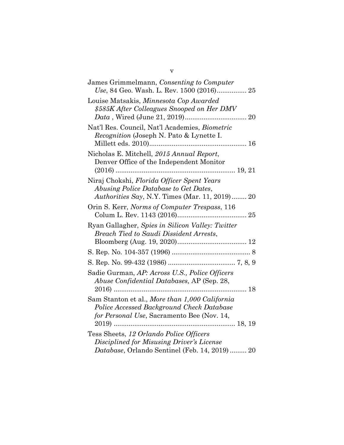v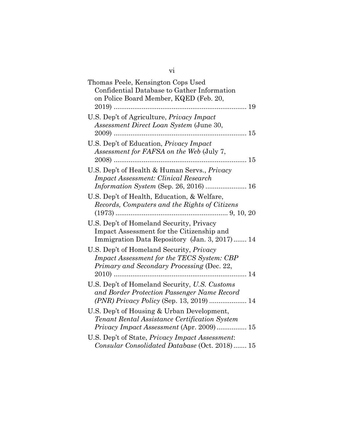| Thomas Peele, Kensington Cops Used<br>Confidential Database to Gather Information<br>on Police Board Member, KQED (Feb. 20,                  |
|----------------------------------------------------------------------------------------------------------------------------------------------|
| U.S. Dep't of Agriculture, Privacy Impact<br>Assessment Direct Loan System (June 30,                                                         |
| U.S. Dep't of Education, Privacy Impact<br>Assessment for FAFSA on the Web (July 7,<br>15<br>.                                               |
| U.S. Dep't of Health & Human Servs., Privacy<br><b>Impact Assessment: Clinical Research</b><br><i>Information System</i> (Sep. 26, 2016)  16 |
| U.S. Dep't of Health, Education, & Welfare,<br>Records, Computers and the Rights of Citizens                                                 |
| U.S. Dep't of Homeland Security, Privacy<br>Impact Assessment for the Citizenship and<br>Immigration Data Repository (Jan. 3, 2017) 14       |
| U.S. Dep't of Homeland Security, Privacy<br>Impact Assessment for the TECS System: CBP<br>Primary and Secondary Processing (Dec. 22,         |
| U.S. Dep't of Homeland Security, U.S. Customs<br>and Border Protection Passenger Name Record                                                 |
| U.S. Dep't of Housing & Urban Development,<br>Tenant Rental Assistance Certification System<br>Privacy Impact Assessment (Apr. 2009)  15     |
| U.S. Dep't of State, Privacy Impact Assessment:<br>Consular Consolidated Database (Oct. 2018)  15                                            |

vi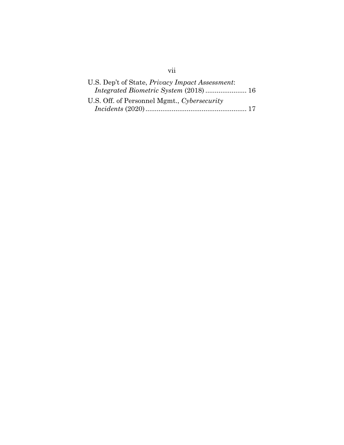| U.S. Dep't of State, <i>Privacy Impact Assessment</i> : |  |
|---------------------------------------------------------|--|
| Integrated Biometric System (2018)  16                  |  |
| U.S. Off. of Personnel Mgmt., Cybersecurity             |  |
|                                                         |  |

# vii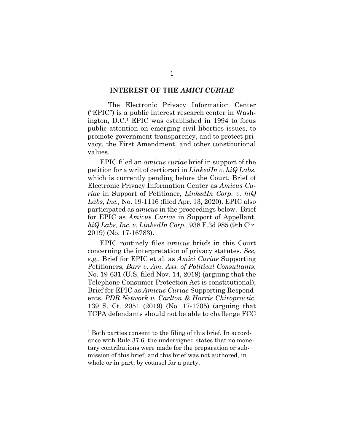### **INTEREST OF THE** *AMICI CURIAE*

The Electronic Privacy Information Center ("EPIC") is a public interest research center in Washington, D.C.1 EPIC was established in 1994 to focus public attention on emerging civil liberties issues, to promote government transparency, and to protect privacy, the First Amendment, and other constitutional values.

EPIC filed an *amicus curiae* brief in support of the petition for a writ of certiorari in *LinkedIn v. hiQ Labs*, which is currently pending before the Court. Brief of Electronic Privacy Information Center as *Amicus Curiae* in Support of Petitioner, *LinkedIn Corp. v. hiQ Labs, Inc.,* No. 19-1116 (filed Apr. 13, 2020). EPIC also participated as *amicus* in the proceedings below. Brief for EPIC as *Amicus Curiae* in Support of Appellant, *hiQ Labs, Inc. v. LinkedIn Corp.*, 938 F.3d 985 (9th Cir. 2019) (No. 17-16783).

EPIC routinely files *amicus* briefs in this Court concerning the interpretation of privacy statutes. *See, e.g.*, Brief for EPIC et al. as *Amici Curiae* Supporting Petitioners, *Barr v. Am. Ass. of Political Consultants*, No. 19-631 (U.S. filed Nov. 14, 2019) (arguing that the Telephone Consumer Protection Act is constitutional); Brief for EPIC as *Amicus Curiae* Supporting Respondents, *PDR Network v. Carlton & Harris Chiropractic*, 139 S. Ct. 2051 (2019) (No. 17-1705) (arguing that TCPA defendants should not be able to challenge FCC

<sup>&</sup>lt;sup>1</sup> Both parties consent to the filing of this brief. In accordance with Rule 37.6, the undersigned states that no monetary contributions were made for the preparation or submission of this brief, and this brief was not authored, in whole or in part, by counsel for a party.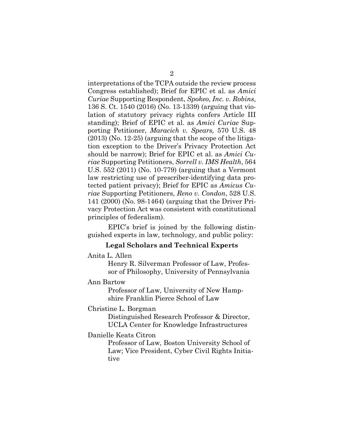interpretations of the TCPA outside the review process Congress established); Brief for EPIC et al. as *Amici Curiae* Supporting Respondent, *Spokeo, Inc. v. Robins*, 136 S. Ct. 1540 (2016) (No. 13-1339) (arguing that violation of statutory privacy rights confers Article III standing); Brief of EPIC et al. as *Amici Curiae* Supporting Petitioner, *Maracich v. Spears,* 570 U.S. 48 (2013) (No. 12-25) (arguing that the scope of the litigation exception to the Driver's Privacy Protection Act should be narrow); Brief for EPIC et al. as *Amici Curiae* Supporting Petitioners, *Sorrell v. IMS Health*, 564 U.S. 552 (2011) (No. 10-779) (arguing that a Vermont law restricting use of prescriber-identifying data protected patient privacy); Brief for EPIC as *Amicus Curiae* Supporting Petitioners, *Reno v. Condon*, 528 U.S. 141 (2000) (No. 98-1464) (arguing that the Driver Privacy Protection Act was consistent with constitutional principles of federalism).

EPIC's brief is joined by the following distinguished experts in law, technology, and public policy:

### **Legal Scholars and Technical Experts**

Anita L. Allen

Henry R. Silverman Professor of Law, Professor of Philosophy, University of Pennsylvania

#### Ann Bartow

Professor of Law, University of New Hampshire Franklin Pierce School of Law

## Christine L. Borgman

Distinguished Research Professor & Director, UCLA Center for Knowledge Infrastructures

#### Danielle Keats Citron

Professor of Law, Boston University School of Law; Vice President, Cyber Civil Rights Initiative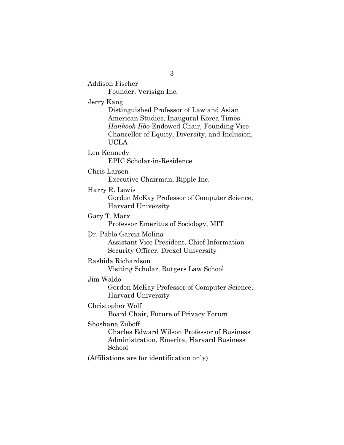Addison Fischer Founder, Verisign Inc. Jerry Kang Distinguished Professor of Law and Asian American Studies, Inaugural Korea Times— *Hankook Ilbo* Endowed Chair, Founding Vice Chancellor of Equity, Diversity, and Inclusion, UCLA Len Kennedy EPIC Scholar-in-Residence Chris Larsen Executive Chairman, Ripple Inc. Harry R. Lewis Gordon McKay Professor of Computer Science, Harvard University Gary T. Marx Professor Emeritus of Sociology, MIT Dr. Pablo Garcia Molina Assistant Vice President, Chief Information Security Officer, Drexel University Rashida Richardson Visiting Scholar, Rutgers Law School Jim Waldo Gordon McKay Professor of Computer Science, Harvard University Christopher Wolf Board Chair, Future of Privacy Forum Shoshana Zuboff Charles Edward Wilson Professor of Business Administration, Emerita, Harvard Business School (Affiliations are for identification only)

3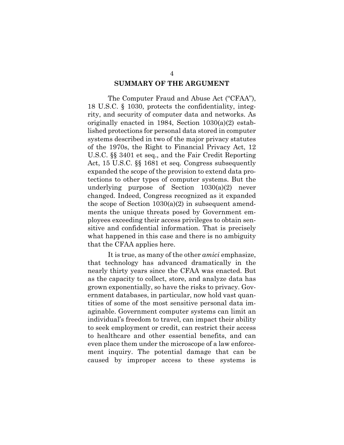### **SUMMARY OF THE ARGUMENT**

The Computer Fraud and Abuse Act ("CFAA"), 18 U.S.C. § 1030, protects the confidentiality, integrity, and security of computer data and networks. As originally enacted in 1984, Section 1030(a)(2) established protections for personal data stored in computer systems described in two of the major privacy statutes of the 1970s, the Right to Financial Privacy Act, 12 U.S.C. §§ 3401 et seq., and the Fair Credit Reporting Act, 15 U.S.C. §§ 1681 et seq. Congress subsequently expanded the scope of the provision to extend data protections to other types of computer systems. But the underlying purpose of Section 1030(a)(2) never changed. Indeed, Congress recognized as it expanded the scope of Section  $1030(a)(2)$  in subsequent amendments the unique threats posed by Government employees exceeding their access privileges to obtain sensitive and confidential information. That is precisely what happened in this case and there is no ambiguity that the CFAA applies here.

It is true, as many of the other *amici* emphasize, that technology has advanced dramatically in the nearly thirty years since the CFAA was enacted. But as the capacity to collect, store, and analyze data has grown exponentially, so have the risks to privacy. Government databases, in particular, now hold vast quantities of some of the most sensitive personal data imaginable. Government computer systems can limit an individual's freedom to travel, can impact their ability to seek employment or credit, can restrict their access to healthcare and other essential benefits, and can even place them under the microscope of a law enforcement inquiry. The potential damage that can be caused by improper access to these systems is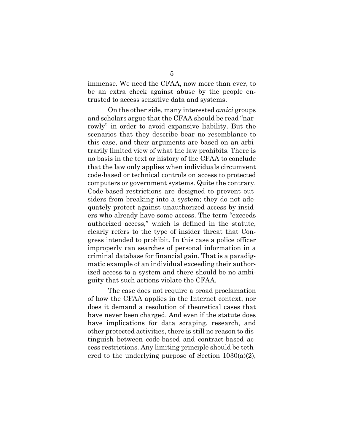immense. We need the CFAA, now more than ever, to be an extra check against abuse by the people entrusted to access sensitive data and systems.

On the other side, many interested *amici* groups and scholars argue that the CFAA should be read "narrowly" in order to avoid expansive liability. But the scenarios that they describe bear no resemblance to this case, and their arguments are based on an arbitrarily limited view of what the law prohibits. There is no basis in the text or history of the CFAA to conclude that the law only applies when individuals circumvent code-based or technical controls on access to protected computers or government systems. Quite the contrary. Code-based restrictions are designed to prevent outsiders from breaking into a system; they do not adequately protect against unauthorized access by insiders who already have some access. The term "exceeds authorized access," which is defined in the statute, clearly refers to the type of insider threat that Congress intended to prohibit. In this case a police officer improperly ran searches of personal information in a criminal database for financial gain. That is a paradigmatic example of an individual exceeding their authorized access to a system and there should be no ambiguity that such actions violate the CFAA.

The case does not require a broad proclamation of how the CFAA applies in the Internet context, nor does it demand a resolution of theoretical cases that have never been charged. And even if the statute does have implications for data scraping, research, and other protected activities, there is still no reason to distinguish between code-based and contract-based access restrictions. Any limiting principle should be tethered to the underlying purpose of Section 1030(a)(2),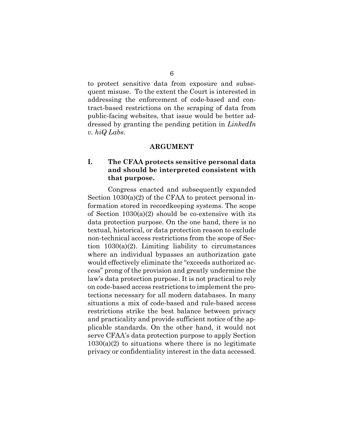to protect sensitive data from exposure and subsequent misuse. To the extent the Court is interested in addressing the enforcement of code-based and contract-based restrictions on the scraping of data from public-facing websites, that issue would be better addressed by granting the pending petition in *LinkedIn v. hiQ Labs*.

### **ARGUMENT**

## **I. The CFAA protects sensitive personal data and should be interpreted consistent with that purpose.**

Congress enacted and subsequently expanded Section  $1030(a)(2)$  of the CFAA to protect personal information stored in recordkeeping systems. The scope of Section  $1030(a)(2)$  should be co-extensive with its data protection purpose. On the one hand, there is no textual, historical, or data protection reason to exclude non-technical access restrictions from the scope of Section  $1030(a)(2)$ . Limiting liability to circumstances where an individual bypasses an authorization gate would effectively eliminate the "exceeds authorized access" prong of the provision and greatly undermine the law's data protection purpose. It is not practical to rely on code-based access restrictions to implement the protections necessary for all modern databases. In many situations a mix of code-based and rule-based access restrictions strike the best balance between privacy and practicality and provide sufficient notice of the applicable standards. On the other hand, it would not serve CFAA's data protection purpose to apply Section  $1030(a)(2)$  to situations where there is no legitimate privacy or confidentiality interest in the data accessed.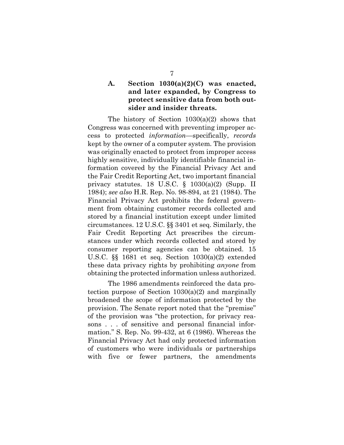## **A. Section 1030(a)(2)(C) was enacted, and later expanded, by Congress to protect sensitive data from both outsider and insider threats.**

The history of Section 1030(a)(2) shows that Congress was concerned with preventing improper access to protected *information*—specifically, *records*  kept by the owner of a computer system*.* The provision was originally enacted to protect from improper access highly sensitive, individually identifiable financial information covered by the Financial Privacy Act and the Fair Credit Reporting Act, two important financial privacy statutes. 18 U.S.C. § 1030(a)(2) (Supp. II 1984); *see also* H.R. Rep. No. 98-894, at 21 (1984). The Financial Privacy Act prohibits the federal government from obtaining customer records collected and stored by a financial institution except under limited circumstances. 12 U.S.C. §§ 3401 et seq. Similarly, the Fair Credit Reporting Act prescribes the circumstances under which records collected and stored by consumer reporting agencies can be obtained. 15 U.S.C. §§ 1681 et seq. Section 1030(a)(2) extended these data privacy rights by prohibiting *anyone* from obtaining the protected information unless authorized.

The 1986 amendments reinforced the data protection purpose of Section 1030(a)(2) and marginally broadened the scope of information protected by the provision. The Senate report noted that the "premise" of the provision was "the protection, for privacy reasons . . . of sensitive and personal financial information." S. Rep. No. 99-432, at 6 (1986). Whereas the Financial Privacy Act had only protected information of customers who were individuals or partnerships with five or fewer partners, the amendments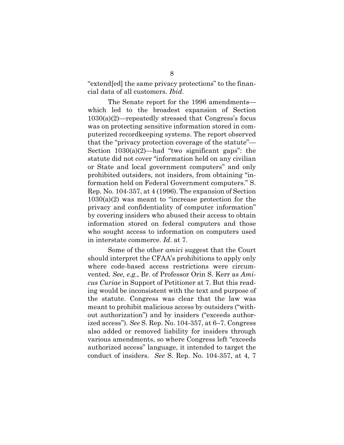"extend[ed] the same privacy protections" to the financial data of all customers. *Ibid*.

The Senate report for the 1996 amendments which led to the broadest expansion of Section 1030(a)(2)—repeatedly stressed that Congress's focus was on protecting sensitive information stored in computerized recordkeeping systems. The report observed that the "privacy protection coverage of the statute"— Section 1030(a)(2)—had "two significant gaps": the statute did not cover "information held on any civilian or State and local government computers" and only prohibited outsiders, not insiders, from obtaining "information held on Federal Government computers." S. Rep. No. 104-357, at 4 (1996). The expansion of Section 1030(a)(2) was meant to "increase protection for the privacy and confidentiality of computer information" by covering insiders who abused their access to obtain information stored on federal computers and those who sought access to information on computers used in interstate commerce. *Id*. at 7.

Some of the other *amici* suggest that the Court should interpret the CFAA's prohibitions to apply only where code-based access restrictions were circumvented. *See, e.g.*, Br. of Professor Orin S. Kerr as *Amicus Curiae* in Support of Petitioner at 7. But this reading would be inconsistent with the text and purpose of the statute. Congress was clear that the law was meant to prohibit malicious access by outsiders ("without authorization") and by insiders ("exceeds authorized access"). *See* S. Rep. No. 104-357, at 6–7. Congress also added or removed liability for insiders through various amendments, so where Congress left "exceeds authorized access" language, it intended to target the conduct of insiders. *See* S. Rep. No. 104-357, at 4, 7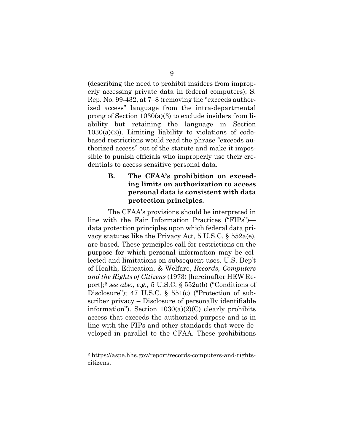(describing the need to prohibit insiders from improperly accessing private data in federal computers); S. Rep. No. 99-432, at 7–8 (removing the "exceeds authorized access" language from the intra-departmental prong of Section 1030(a)(3) to exclude insiders from liability but retaining the language in Section  $1030(a)(2)$ ). Limiting liability to violations of codebased restrictions would read the phrase "exceeds authorized access" out of the statute and make it impossible to punish officials who improperly use their credentials to access sensitive personal data.

## **B. The CFAA's prohibition on exceeding limits on authorization to access personal data is consistent with data protection principles.**

The CFAA's provisions should be interpreted in line with the Fair Information Practices ("FIPs") data protection principles upon which federal data privacy statutes like the Privacy Act, 5 U.S.C. § 552a(e), are based. These principles call for restrictions on the purpose for which personal information may be collected and limitations on subsequent uses. U.S. Dep't of Health, Education, & Welfare, *Records, Computers and the Rights of Citizens* (1973) [hereinafter HEW Report];<sup>2</sup> *see also, e.g.,* 5 U.S.C. § 552a(b) ("Conditions of Disclosure"); 47 U.S.C. § 551(c) ("Protection of subscriber privacy – Disclosure of personally identifiable information"). Section  $1030(a)(2)(C)$  clearly prohibits access that exceeds the authorized purpose and is in line with the FIPs and other standards that were developed in parallel to the CFAA. These prohibitions

<sup>2</sup> https://aspe.hhs.gov/report/records-computers-and-rightscitizens.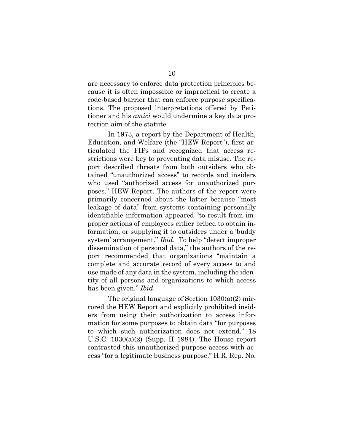are necessary to enforce data protection principles because it is often impossible or impractical to create a code-based barrier that can enforce purpose specifications. The proposed interpretations offered by Petitioner and his *amici* would undermine a key data protection aim of the statute.

In 1973, a report by the Department of Health, Education, and Welfare (the "HEW Report"), first articulated the FIPs and recognized that access restrictions were key to preventing data misuse. The report described threats from both outsiders who obtained "unauthorized access" to records and insiders who used "authorized access for unauthorized purposes." HEW Report. The authors of the report were primarily concerned about the latter because "most leakage of data" from systems containing personally identifiable information appeared "to result from improper actions of employees either bribed to obtain information, or supplying it to outsiders under a 'buddy system' arrangement." *Ibid*. To help "detect improper dissemination of personal data," the authors of the report recommended that organizations "maintain a complete and accurate record of every access to and use made of any data in the system, including the identity of all persons and organizations to which access has been given." *Ibid*.

The original language of Section 1030(a)(2) mirrored the HEW Report and explicitly prohibited insiders from using their authorization to access information for some purposes to obtain data "for purposes to which such authorization does not extend." 18 U.S.C. 1030(a)(2) (Supp. II 1984). The House report contrasted this unauthorized purpose access with access "for a legitimate business purpose." H.R. Rep. No.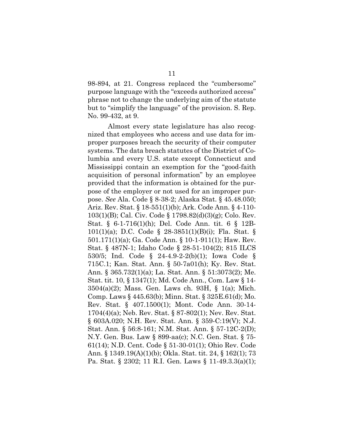98-894, at 21. Congress replaced the "cumbersome" purpose language with the "exceeds authorized access" phrase not to change the underlying aim of the statute but to "simplify the language" of the provision. S. Rep. No. 99-432, at 9.

Almost every state legislature has also recognized that employees who access and use data for improper purposes breach the security of their computer systems. The data breach statutes of the District of Columbia and every U.S. state except Connecticut and Mississippi contain an exemption for the "good-faith acquisition of personal information" by an employee provided that the information is obtained for the purpose of the employer or not used for an improper purpose. *See* Ala. Code § 8-38-2; Alaska Stat. § 45.48.050; Ariz. Rev. Stat. § 18-551(1)(b); Ark. Code Ann. § 4-110- 103(1)(B); Cal. Civ. Code § 1798.82(d)(3)(g); Colo. Rev. Stat. § 6-1-716(1)(h); Del. Code Ann. tit. 6 § 12B-101(1)(a); D.C. Code § 28-3851(1)(B)(i); Fla. Stat. § 501.171(1)(a); Ga. Code Ann. § 10-1-911(1); Haw. Rev. Stat. § 487N-1; Idaho Code § 28-51-104(2); 815 ILCS 530/5; Ind. Code § 24-4.9-2-2(b)(1); Iowa Code § 715C.1; Kan. Stat. Ann. § 50-7a01(h); Ky. Rev. Stat. Ann. § 365.732(1)(a); La. Stat. Ann. § 51:3073(2); Me. Stat. tit. 10, § 1347(1); Md. Code Ann., Com. Law § 14- 3504(a)(2); Mass. Gen. Laws ch. 93H, § 1(a); Mich. Comp. Laws § 445.63(b); Minn. Stat. § 325E.61(d); Mo. Rev. Stat. § 407.1500(1); Mont. Code Ann. 30-14- 1704(4)(a); Neb. Rev. Stat. § 87-802(1); Nev. Rev. Stat. § 603A.020; N.H. Rev. Stat. Ann. § 359-C:19(V); N.J. Stat. Ann. § 56:8-161; N.M. Stat. Ann. § 57-12C-2(D); N.Y. Gen. Bus. Law § 899-aa(c); N.C. Gen. Stat. § 75- 61(14); N.D. Cent. Code § 51-30-01(1); Ohio Rev. Code Ann. § 1349.19(A)(1)(b); Okla. Stat. tit. 24, § 162(1); 73 Pa. Stat. § 2302; 11 R.I. Gen. Laws § 11-49.3.3(a)(1);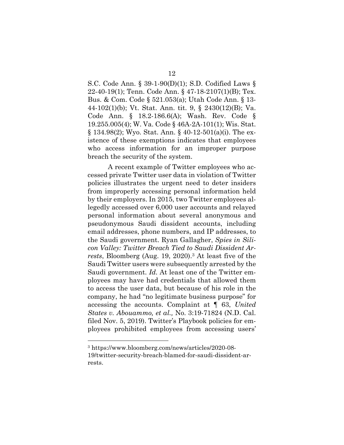S.C. Code Ann. § 39-1-90(D)(1); S.D. Codified Laws § 22-40-19(1); Tenn. Code Ann. § 47-18-2107(1)(B); Tex. Bus. & Com. Code § 521.053(a); Utah Code Ann. § 13- 44-102(1)(b); Vt. Stat. Ann. tit. 9, § 2430(12)(B); Va. Code Ann. § 18.2-186.6(A); Wash. Rev. Code § 19.255.005(4); W. Va. Code § 46A-2A-101(1); Wis. Stat. § 134.98(2); Wyo. Stat. Ann. § 40-12-501(a)(i). The existence of these exemptions indicates that employees who access information for an improper purpose breach the security of the system.

A recent example of Twitter employees who accessed private Twitter user data in violation of Twitter policies illustrates the urgent need to deter insiders from improperly accessing personal information held by their employers. In 2015, two Twitter employees allegedly accessed over 6,000 user accounts and relayed personal information about several anonymous and pseudonymous Saudi dissident accounts, including email addresses, phone numbers, and IP addresses, to the Saudi government. Ryan Gallagher, *Spies in Silicon Valley: Twitter Breach Tied to Saudi Dissident Arrests*, Bloomberg (Aug. 19, 2020).<sup>3</sup> At least five of the Saudi Twitter users were subsequently arrested by the Saudi government. *Id.* At least one of the Twitter employees may have had credentials that allowed them to access the user data, but because of his role in the company, he had "no legitimate business purpose" for accessing the accounts. Complaint at ¶ 63, *United States v. Abouammo, et al.,* No. 3:19-71824 (N.D. Cal. filed Nov. 5, 2019). Twitter's Playbook policies for employees prohibited employees from accessing users'

<sup>3</sup> https://www.bloomberg.com/news/articles/2020-08- 19/twitter-security-breach-blamed-for-saudi-dissident-arrests.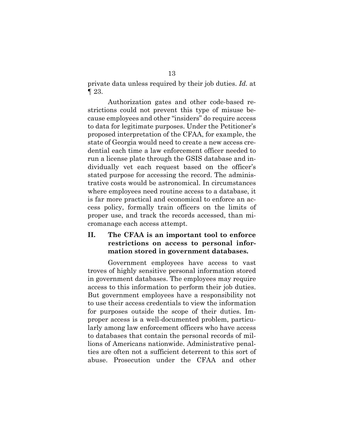private data unless required by their job duties. *Id.* at ¶ 23.

Authorization gates and other code-based restrictions could not prevent this type of misuse because employees and other "insiders" do require access to data for legitimate purposes. Under the Petitioner's proposed interpretation of the CFAA, for example, the state of Georgia would need to create a new access credential each time a law enforcement officer needed to run a license plate through the GSIS database and individually vet each request based on the officer's stated purpose for accessing the record. The administrative costs would be astronomical. In circumstances where employees need routine access to a database, it is far more practical and economical to enforce an access policy, formally train officers on the limits of proper use, and track the records accessed, than micromanage each access attempt.

## **II. The CFAA is an important tool to enforce restrictions on access to personal information stored in government databases.**

Government employees have access to vast troves of highly sensitive personal information stored in government databases. The employees may require access to this information to perform their job duties. But government employees have a responsibility not to use their access credentials to view the information for purposes outside the scope of their duties. Improper access is a well-documented problem, particularly among law enforcement officers who have access to databases that contain the personal records of millions of Americans nationwide. Administrative penalties are often not a sufficient deterrent to this sort of abuse. Prosecution under the CFAA and other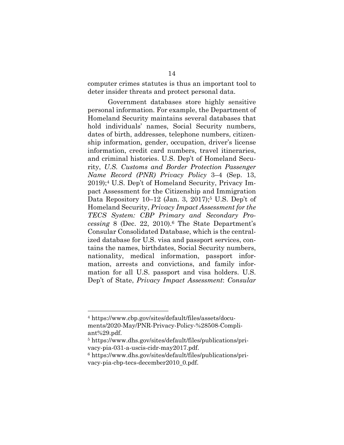computer crimes statutes is thus an important tool to deter insider threats and protect personal data.

Government databases store highly sensitive personal information. For example, the Department of Homeland Security maintains several databases that hold individuals' names, Social Security numbers, dates of birth, addresses, telephone numbers, citizenship information, gender, occupation, driver's license information, credit card numbers, travel itineraries, and criminal histories. U.S. Dep't of Homeland Security, *U.S. Customs and Border Protection Passenger Name Record (PNR) Privacy Policy* 3–4 (Sep. 13, 2019);<sup>4</sup> U.S. Dep't of Homeland Security, Privacy Impact Assessment for the Citizenship and Immigration Data Repository 10–12 (Jan. 3, 2017);<sup>5</sup> U.S. Dep't of Homeland Security, *Privacy Impact Assessment for the TECS System: CBP Primary and Secondary Processing* 8 (Dec. 22, 2010).<sup>6</sup> The State Department's Consular Consolidated Database, which is the centralized database for U.S. visa and passport services, contains the names, birthdates, Social Security numbers, nationality, medical information, passport information, arrests and convictions, and family information for all U.S. passport and visa holders. U.S. Dep't of State, *Privacy Impact Assessment*: *Consular* 

<sup>4</sup> https://www.cbp.gov/sites/default/files/assets/documents/2020-May/PNR-Privacy-Policy-%28508-Compliant%29.pdf.

<sup>5</sup> https://www.dhs.gov/sites/default/files/publications/privacy-pia-031-a-uscis-cidr-may2017.pdf.

<sup>6</sup> https://www.dhs.gov/sites/default/files/publications/privacy-pia-cbp-tecs-december2010\_0.pdf.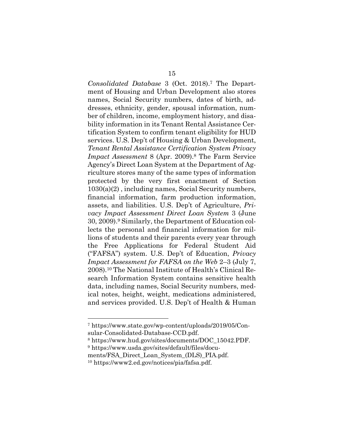*Consolidated Database* 3 (Oct. 2018).<sup>7</sup> The Department of Housing and Urban Development also stores names, Social Security numbers, dates of birth, addresses, ethnicity, gender, spousal information, number of children, income, employment history, and disability information in its Tenant Rental Assistance Certification System to confirm tenant eligibility for HUD services. U.S. Dep't of Housing & Urban Development, *Tenant Rental Assistance Certification System Privacy Impact Assessment* 8 (Apr. 2009).<sup>8</sup> The Farm Service Agency's Direct Loan System at the Department of Agriculture stores many of the same types of information protected by the very first enactment of Section 1030(a)(2) , including names, Social Security numbers, financial information, farm production information, assets, and liabilities. U.S. Dep't of Agriculture, *Privacy Impact Assessment Direct Loan System* 3 (June 30, 2009).<sup>9</sup> Similarly, the Department of Education collects the personal and financial information for millions of students and their parents every year through the Free Applications for Federal Student Aid ("FAFSA") system. U.S. Dep't of Education, *Privacy Impact Assessment for FAFSA on the Web* 2–3 (July 7, 2008).<sup>10</sup> The National Institute of Health's Clinical Research Information System contains sensitive health data, including names, Social Security numbers, medical notes, height, weight, medications administered, and services provided. U.S. Dep't of Health & Human

<sup>7</sup> https://www.state.gov/wp-content/uploads/2019/05/Consular-Consolidated-Database-CCD.pdf.

<sup>8</sup> https://www.hud.gov/sites/documents/DOC\_15042.PDF.

<sup>9</sup> https://www.usda.gov/sites/default/files/docu-

ments/FSA\_Direct\_Loan\_System\_(DLS)\_PIA.pdf.

<sup>10</sup> https://www2.ed.gov/notices/pia/fafsa.pdf.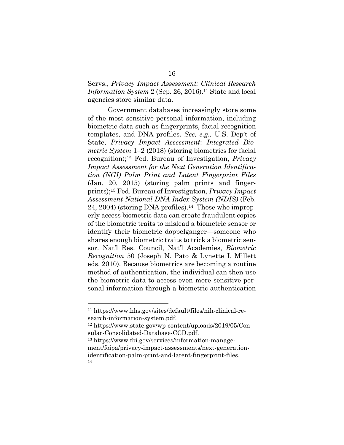## Servs., *Privacy Impact Assessment: Clinical Research Information System* 2 (Sep. 26, 2016).<sup>11</sup> State and local agencies store similar data.

Government databases increasingly store some of the most sensitive personal information, including biometric data such as fingerprints, facial recognition templates, and DNA profiles. *See, e.g.,* U.S. Dep't of State, *Privacy Impact Assessment*: *Integrated Biometric System* 1–2 (2018) (storing biometrics for facial recognition);<sup>12</sup> Fed. Bureau of Investigation, *Privacy Impact Assessment for the Next Generation Identification (NGI) Palm Print and Latent Fingerprint Files* (Jan. 20, 2015) (storing palm prints and fingerprints);<sup>13</sup> Fed. Bureau of Investigation, *Privacy Impact Assessment National DNA Index System (NDIS)* (Feb. 24, 2004) (storing DNA profiles).<sup>14</sup> Those who improperly access biometric data can create fraudulent copies of the biometric traits to mislead a biometric sensor or identify their biometric doppelganger—someone who shares enough biometric traits to trick a biometric sensor. Nat'l Res. Council, Nat'l Academies, *Biometric Recognition* 50 (Joseph N. Pato & Lynette I. Millett eds. 2010). Because biometrics are becoming a routine method of authentication, the individual can then use the biometric data to access even more sensitive personal information through a biometric authentication

<sup>11</sup> https://www.hhs.gov/sites/default/files/nih-clinical-research-information-system.pdf.

<sup>12</sup> https://www.state.gov/wp-content/uploads/2019/05/Consular-Consolidated-Database-CCD.pdf.

<sup>13</sup> https://www.fbi.gov/services/information-management/foipa/privacy-impact-assessments/next-generationidentification-palm-print-and-latent-fingerprint-files. 14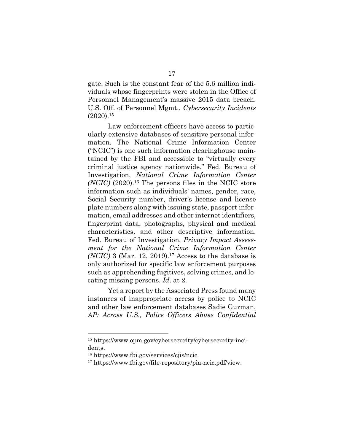gate. Such is the constant fear of the 5.6 million individuals whose fingerprints were stolen in the Office of Personnel Management's massive 2015 data breach. U.S. Off. of Personnel Mgmt., *Cybersecurity Incidents*   $(2020).15$ 

Law enforcement officers have access to particularly extensive databases of sensitive personal information. The National Crime Information Center ("NCIC") is one such information clearinghouse maintained by the FBI and accessible to "virtually every criminal justice agency nationwide." Fed. Bureau of Investigation, *National Crime Information Center (NCIC)* (2020).<sup>16</sup> The persons files in the NCIC store information such as individuals' names, gender, race, Social Security number, driver's license and license plate numbers along with issuing state, passport information, email addresses and other internet identifiers, fingerprint data, photographs, physical and medical characteristics, and other descriptive information. Fed. Bureau of Investigation, *Privacy Impact Assessment for the National Crime Information Center (NCIC)* 3 (Mar. 12, 2019).<sup>17</sup> Access to the database is only authorized for specific law enforcement purposes such as apprehending fugitives, solving crimes, and locating missing persons. *Id*. at 2.

Yet a report by the Associated Press found many instances of inappropriate access by police to NCIC and other law enforcement databases Sadie Gurman, *AP: Across U.S., Police Officers Abuse Confidential* 

<sup>15</sup> https://www.opm.gov/cybersecurity/cybersecurity-incidents.

<sup>16</sup> https://www.fbi.gov/services/cjis/ncic.

<sup>17</sup> https://www.fbi.gov/file-repository/pia-ncic.pdf/view.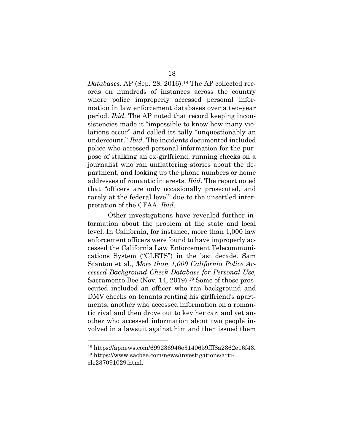*Databases,* AP (Sep. 28, 2016).<sup>18</sup> The AP collected records on hundreds of instances across the country where police improperly accessed personal information in law enforcement databases over a two-year period. *Ibid*. The AP noted that record keeping inconsistencies made it "impossible to know how many violations occur" and called its tally "unquestionably an undercount." *Ibid.* The incidents documented included police who accessed personal information for the purpose of stalking an ex-girlfriend, running checks on a journalist who ran unflattering stories about the department, and looking up the phone numbers or home addresses of romantic interests. *Ibid*. The report noted that "officers are only occasionally prosecuted, and rarely at the federal level" due to the unsettled interpretation of the CFAA. *Ibid.*

Other investigations have revealed further information about the problem at the state and local level. In California, for instance, more than 1,000 law enforcement officers were found to have improperly accessed the California Law Enforcement Telecommunications System ("CLETS") in the last decade. Sam Stanton et al., *More than 1,000 California Police Accessed Background Check Database for Personal Use*, Sacramento Bee (Nov. 14, 2019).<sup>19</sup> Some of those prosecuted included an officer who ran background and DMV checks on tenants renting his girlfriend's apartments; another who accessed information on a romantic rival and then drove out to key her car; and yet another who accessed information about two people involved in a lawsuit against him and then issued them

<sup>18</sup> https://apnews.com/699236946e3140659fff8a2362e16f43. <sup>19</sup> https://www.sacbee.com/news/investigations/article237091029.html.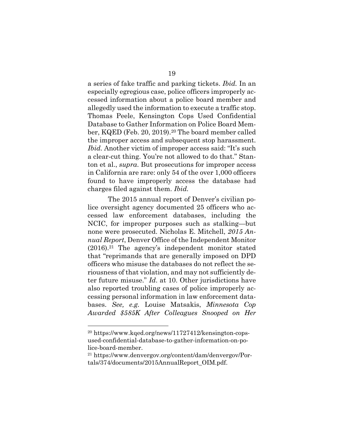a series of fake traffic and parking tickets. *Ibid.* In an especially egregious case, police officers improperly accessed information about a police board member and allegedly used the information to execute a traffic stop. Thomas Peele, Kensington Cops Used Confidential Database to Gather Information on Police Board Member, KQED (Feb. 20, 2019).<sup>20</sup> The board member called the improper access and subsequent stop harassment. *Ibid.* Another victim of improper access said: "It's such a clear-cut thing. You're not allowed to do that." Stanton et al., *supra*. But prosecutions for improper access in California are rare: only 54 of the over 1,000 officers found to have improperly access the database had charges filed against them. *Ibid.* 

The 2015 annual report of Denver's civilian police oversight agency documented 25 officers who accessed law enforcement databases, including the NCIC, for improper purposes such as stalking—but none were prosecuted. Nicholas E. Mitchell, *2015 Annual Report*, Denver Office of the Independent Monitor  $(2016).<sup>21</sup>$  The agency's independent monitor stated that "reprimands that are generally imposed on DPD officers who misuse the databases do not reflect the seriousness of that violation, and may not sufficiently deter future misuse." *Id*. at 10. Other jurisdictions have also reported troubling cases of police improperly accessing personal information in law enforcement databases. *See, e.g.* Louise Matsakis, *Minnesota Cop Awarded \$585K After Colleagues Snooped on Her* 

<sup>20</sup> https://www.kqed.org/news/11727412/kensington-copsused-confidential-database-to-gather-information-on-police-board-member.

<sup>21</sup> https://www.denvergov.org/content/dam/denvergov/Portals/374/documents/2015AnnualReport\_OIM.pdf.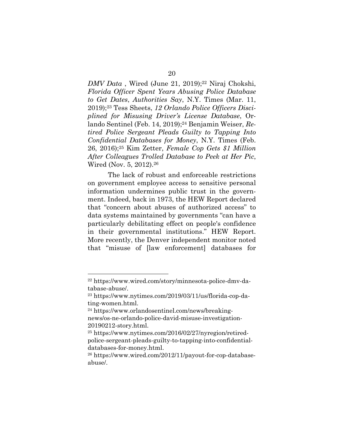*DMV Data*, Wired (June 21, 2019);<sup>22</sup> Niraj Chokshi, *Florida Officer Spent Years Abusing Police Database to Get Dates*, *Authorities Say*, N.Y. Times (Mar. 11, 2019);<sup>23</sup> Tess Sheets, *12 Orlando Police Officers Disciplined for Misusing Driver's License Database*, Orlando Sentinel (Feb. 14, 2019);<sup>24</sup> Benjamin Weiser, *Retired Police Sergeant Pleads Guilty to Tapping Into Confidential Databases for Money*, N.Y. Times (Feb. 26, 2016);<sup>25</sup> Kim Zetter, *Female Cop Gets \$1 Million After Colleagues Trolled Database to Peek at Her Pic*, Wired (Nov. 5, 2012).<sup>26</sup>

The lack of robust and enforceable restrictions on government employee access to sensitive personal information undermines public trust in the government. Indeed, back in 1973, the HEW Report declared that "concern about abuses of authorized access" to data systems maintained by governments "can have a particularly debilitating effect on people's confidence in their governmental institutions." HEW Report. More recently, the Denver independent monitor noted that "misuse of [law enforcement] databases for

<sup>22</sup> https://www.wired.com/story/minnesota-police-dmv-database-abuse/.

<sup>23</sup> https://www.nytimes.com/2019/03/11/us/florida-cop-dating-women.html.

<sup>24</sup> https://www.orlandosentinel.com/news/breakingnews/os-ne-orlando-police-david-misuse-investigation-20190212-story.html.

<sup>25</sup> https://www.nytimes.com/2016/02/27/nyregion/retiredpolice-sergeant-pleads-guilty-to-tapping-into-confidentialdatabases-for-money.html.

<sup>26</sup> https://www.wired.com/2012/11/payout-for-cop-databaseabuse/.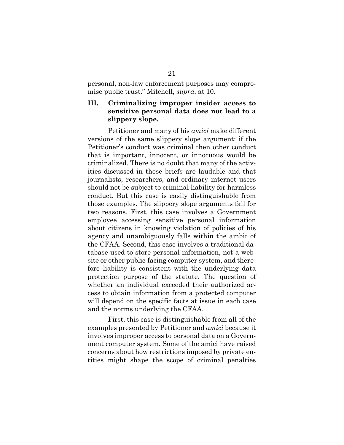personal, non-law enforcement purposes may compromise public trust." Mitchell, *supra*, at 10.

## **III. Criminalizing improper insider access to sensitive personal data does not lead to a slippery slope.**

Petitioner and many of his *amici* make different versions of the same slippery slope argument: if the Petitioner's conduct was criminal then other conduct that is important, innocent, or innocuous would be criminalized. There is no doubt that many of the activities discussed in these briefs are laudable and that journalists, researchers, and ordinary internet users should not be subject to criminal liability for harmless conduct. But this case is easily distinguishable from those examples. The slippery slope arguments fail for two reasons. First, this case involves a Government employee accessing sensitive personal information about citizens in knowing violation of policies of his agency and unambiguously falls within the ambit of the CFAA. Second, this case involves a traditional database used to store personal information, not a website or other public-facing computer system, and therefore liability is consistent with the underlying data protection purpose of the statute. The question of whether an individual exceeded their authorized access to obtain information from a protected computer will depend on the specific facts at issue in each case and the norms underlying the CFAA.

First, this case is distinguishable from all of the examples presented by Petitioner and *amici* because it involves improper access to personal data on a Government computer system. Some of the amici have raised concerns about how restrictions imposed by private entities might shape the scope of criminal penalties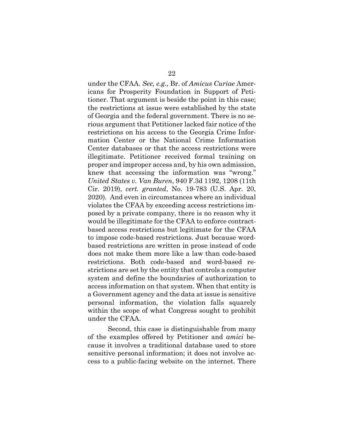under the CFAA. *See, e.g.,* Br. of *Amicus Curiae* Americans for Prosperity Foundation in Support of Petitioner. That argument is beside the point in this case; the restrictions at issue were established by the state of Georgia and the federal government. There is no serious argument that Petitioner lacked fair notice of the restrictions on his access to the Georgia Crime Information Center or the National Crime Information Center databases or that the access restrictions were illegitimate. Petitioner received formal training on proper and improper access and, by his own admission, knew that accessing the information was "wrong." *United States v. Van Buren*, 940 F.3d 1192, 1208 (11th Cir. 2019), *cert. granted*, No. 19-783 (U.S. Apr. 20, 2020). And even in circumstances where an individual violates the CFAA by exceeding access restrictions imposed by a private company, there is no reason why it would be illegitimate for the CFAA to enforce contractbased access restrictions but legitimate for the CFAA to impose code-based restrictions. Just because wordbased restrictions are written in prose instead of code does not make them more like a law than code-based restrictions. Both code-based and word-based restrictions are set by the entity that controls a computer system and define the boundaries of authorization to access information on that system. When that entity is a Government agency and the data at issue is sensitive personal information, the violation falls squarely within the scope of what Congress sought to prohibit under the CFAA.

Second, this case is distinguishable from many of the examples offered by Petitioner and *amici* because it involves a traditional database used to store sensitive personal information; it does not involve access to a public-facing website on the internet. There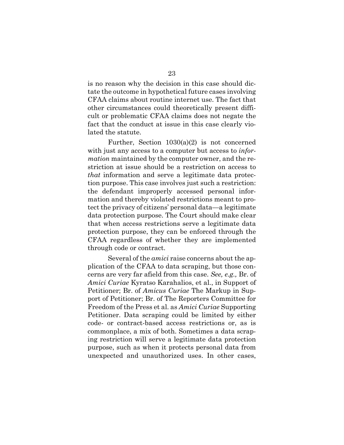is no reason why the decision in this case should dictate the outcome in hypothetical future cases involving CFAA claims about routine internet use. The fact that other circumstances could theoretically present difficult or problematic CFAA claims does not negate the fact that the conduct at issue in this case clearly violated the statute.

Further, Section 1030(a)(2) is not concerned with just any access to a computer but access to *information* maintained by the computer owner, and the restriction at issue should be a restriction on access to *that* information and serve a legitimate data protection purpose. This case involves just such a restriction: the defendant improperly accessed personal information and thereby violated restrictions meant to protect the privacy of citizens' personal data—a legitimate data protection purpose. The Court should make clear that when access restrictions serve a legitimate data protection purpose, they can be enforced through the CFAA regardless of whether they are implemented through code or contract.

Several of the *amici* raise concerns about the application of the CFAA to data scraping, but those concerns are very far afield from this case. *See, e.g.,* Br. of *Amici Curiae* Kyratso Karahalios, et al., in Support of Petitioner; Br. of *Amicus Curiae* The Markup in Support of Petitioner; Br. of The Reporters Committee for Freedom of the Press et al. as *Amici Curiae* Supporting Petitioner. Data scraping could be limited by either code- or contract-based access restrictions or, as is commonplace, a mix of both. Sometimes a data scraping restriction will serve a legitimate data protection purpose, such as when it protects personal data from unexpected and unauthorized uses. In other cases,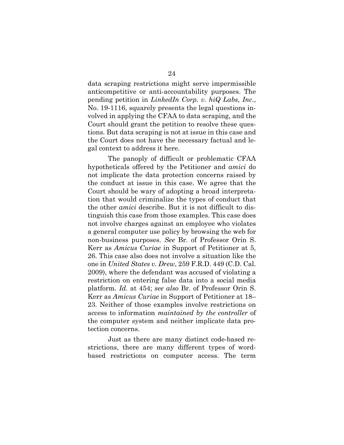data scraping restrictions might serve impermissible anticompetitive or anti-accountability purposes. The pending petition in *LinkedIn Corp. v. hiQ Labs, Inc.*, No. 19-1116, squarely presents the legal questions involved in applying the CFAA to data scraping, and the Court should grant the petition to resolve these questions. But data scraping is not at issue in this case and the Court does not have the necessary factual and legal context to address it here.

The panoply of difficult or problematic CFAA hypotheticals offered by the Petitioner and *amici* do not implicate the data protection concerns raised by the conduct at issue in this case. We agree that the Court should be wary of adopting a broad interpretation that would criminalize the types of conduct that the other *amici* describe. But it is not difficult to distinguish this case from those examples. This case does not involve charges against an employee who violates a general computer use policy by browsing the web for non-business purposes. *See* Br. of Professor Orin S. Kerr as *Amicus Curiae* in Support of Petitioner at 5, 26. This case also does not involve a situation like the one in *United States v. Drew*, 259 F.R.D. 449 (C.D. Cal. 2009), where the defendant was accused of violating a restriction on entering false data into a social media platform. *Id.* at 454; *see also* Br. of Professor Orin S. Kerr as *Amicus Curiae* in Support of Petitioner at 18– 23. Neither of those examples involve restrictions on access to information *maintained by the controller* of the computer system and neither implicate data protection concerns.

Just as there are many distinct code-based restrictions, there are many different types of wordbased restrictions on computer access. The term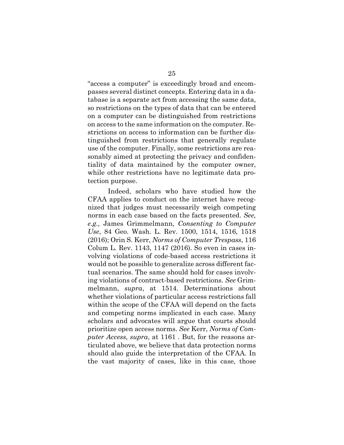"access a computer" is exceedingly broad and encompasses several distinct concepts. Entering data in a database is a separate act from accessing the same data, so restrictions on the types of data that can be entered on a computer can be distinguished from restrictions on access to the same information on the computer. Restrictions on access to information can be further distinguished from restrictions that generally regulate use of the computer. Finally, some restrictions are reasonably aimed at protecting the privacy and confidentiality of data maintained by the computer owner, while other restrictions have no legitimate data protection purpose.

Indeed, scholars who have studied how the CFAA applies to conduct on the internet have recognized that judges must necessarily weigh competing norms in each case based on the facts presented. *See, e.g.,* James Grimmelmann, *Consenting to Computer Use*, 84 Geo. Wash. L. Rev. 1500, 1514, 1516, 1518 (2016); Orin S. Kerr, *Norms of Computer Trespass*, 116 Colum L. Rev. 1143, 1147 (2016). So even in cases involving violations of code-based access restrictions it would not be possible to generalize across different factual scenarios. The same should hold for cases involving violations of contract-based restrictions. *See* Grimmelmann, *supra*, at 1514. Determinations about whether violations of particular access restrictions fall within the scope of the CFAA will depend on the facts and competing norms implicated in each case. Many scholars and advocates will argue that courts should prioritize open access norms. *See* Kerr, *Norms of Computer Access, supra*, at 1161 . But, for the reasons articulated above, we believe that data protection norms should also guide the interpretation of the CFAA. In the vast majority of cases, like in this case, those